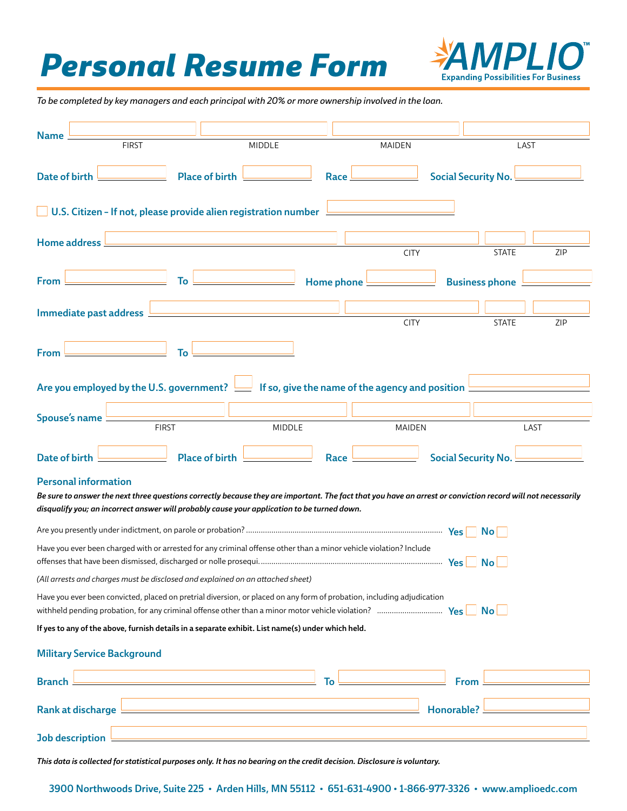## *Personal Resume Form*



*To be completed by key managers and each principal with 20% or more ownership involved in the loan.*

| <b>Name</b>                                                                                                                                                                                                                                                                                                                                                                                                             |                                                                                                   |                       |            |               |                            |     |  |  |  |  |
|-------------------------------------------------------------------------------------------------------------------------------------------------------------------------------------------------------------------------------------------------------------------------------------------------------------------------------------------------------------------------------------------------------------------------|---------------------------------------------------------------------------------------------------|-----------------------|------------|---------------|----------------------------|-----|--|--|--|--|
|                                                                                                                                                                                                                                                                                                                                                                                                                         | <b>FIRST</b>                                                                                      | <b>MIDDLE</b>         |            | <b>MAIDEN</b> | LAST                       |     |  |  |  |  |
| Date of birth                                                                                                                                                                                                                                                                                                                                                                                                           |                                                                                                   | <b>Place of birth</b> | Race.      |               | <b>Social Security No.</b> |     |  |  |  |  |
| U.S. Citizen - If not, please provide alien registration number                                                                                                                                                                                                                                                                                                                                                         |                                                                                                   |                       |            |               |                            |     |  |  |  |  |
|                                                                                                                                                                                                                                                                                                                                                                                                                         | Home address                                                                                      |                       |            | <b>CITY</b>   | <b>STATE</b>               | ZIP |  |  |  |  |
| <b>From</b>                                                                                                                                                                                                                                                                                                                                                                                                             | To                                                                                                |                       | Home phone |               | <b>Business phone</b>      |     |  |  |  |  |
|                                                                                                                                                                                                                                                                                                                                                                                                                         | Immediate past address                                                                            |                       |            | <b>CITY</b>   | <b>STATE</b>               | ZIP |  |  |  |  |
| <b>From</b>                                                                                                                                                                                                                                                                                                                                                                                                             | To                                                                                                |                       |            |               |                            |     |  |  |  |  |
| Are you employed by the U.S. government? $\equiv$ If so, give the name of the agency and position                                                                                                                                                                                                                                                                                                                       |                                                                                                   |                       |            |               |                            |     |  |  |  |  |
|                                                                                                                                                                                                                                                                                                                                                                                                                         | Spouse's name<br><b>FIRST</b>                                                                     | MIDDLE                |            | <b>MAIDEN</b> | LAST                       |     |  |  |  |  |
| <b>Date of birth</b>                                                                                                                                                                                                                                                                                                                                                                                                    |                                                                                                   | <b>Place of birth</b> | Race       |               | Social Security No.        |     |  |  |  |  |
| <b>Personal information</b><br>Be sure to answer the next three questions correctly because they are important. The fact that you have an arrest or conviction record will not necessarily<br>disqualify you; an incorrect answer will probably cause your application to be turned down.                                                                                                                               |                                                                                                   |                       |            |               |                            |     |  |  |  |  |
|                                                                                                                                                                                                                                                                                                                                                                                                                         |                                                                                                   |                       |            |               |                            |     |  |  |  |  |
| Have you ever been charged with or arrested for any criminal offense other than a minor vehicle violation? Include<br>$\mathsf{No}$                                                                                                                                                                                                                                                                                     |                                                                                                   |                       |            |               |                            |     |  |  |  |  |
| (All arrests and charges must be disclosed and explained on an attached sheet)                                                                                                                                                                                                                                                                                                                                          |                                                                                                   |                       |            |               |                            |     |  |  |  |  |
| Have you ever been convicted, placed on pretrial diversion, or placed on any form of probation, including adjudication<br>withheld pending probation, for any criminal offense other than a minor motor vehicle violation? $\ldots$ $\ldots$ $\ldots$ $\ldots$ $\ldots$ $\ldots$ $\ldots$ $\ldots$ $\ldots$ $\ldots$ $\ldots$ $\ldots$ $\ldots$ $\ldots$ $\ldots$ $\ldots$ $\ldots$ $\ldots$ $\ldots$ $\ldots$ $\ldots$ |                                                                                                   |                       |            |               |                            |     |  |  |  |  |
|                                                                                                                                                                                                                                                                                                                                                                                                                         | If yes to any of the above, furnish details in a separate exhibit. List name(s) under which held. |                       |            |               |                            |     |  |  |  |  |
| <b>Military Service Background</b>                                                                                                                                                                                                                                                                                                                                                                                      |                                                                                                   |                       |            |               |                            |     |  |  |  |  |
| <b>Branch</b>                                                                                                                                                                                                                                                                                                                                                                                                           |                                                                                                   |                       | To         |               | From                       |     |  |  |  |  |
|                                                                                                                                                                                                                                                                                                                                                                                                                         | Honorable?                                                                                        |                       |            |               |                            |     |  |  |  |  |
|                                                                                                                                                                                                                                                                                                                                                                                                                         | Job description $\overline{\phantom{a}}$                                                          |                       |            |               |                            |     |  |  |  |  |

*This data is collected for statistical purposes only. It has no bearing on the credit decision. Disclosure is voluntary.*

3900 Northwoods Drive, Suite 225 • Arden Hills, MN 55112 • 651-631-4900 • 1-866-977-3326 • www.amplioedc.com